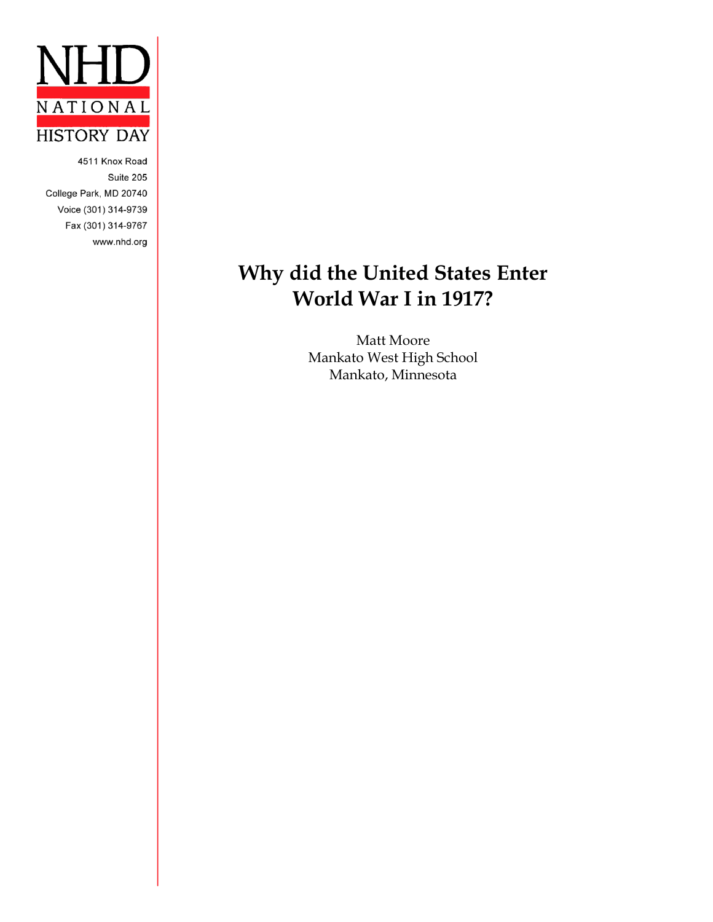

4511 Knox Road Suite 205 College Park, MD 20740 Voice (301) 314-9739 Fax (301) 314-9767 www.nhd.org

## **Why did the United States Enter World War I in 1917?**

Matt Moore Mankato West High School Mankato, Minnesota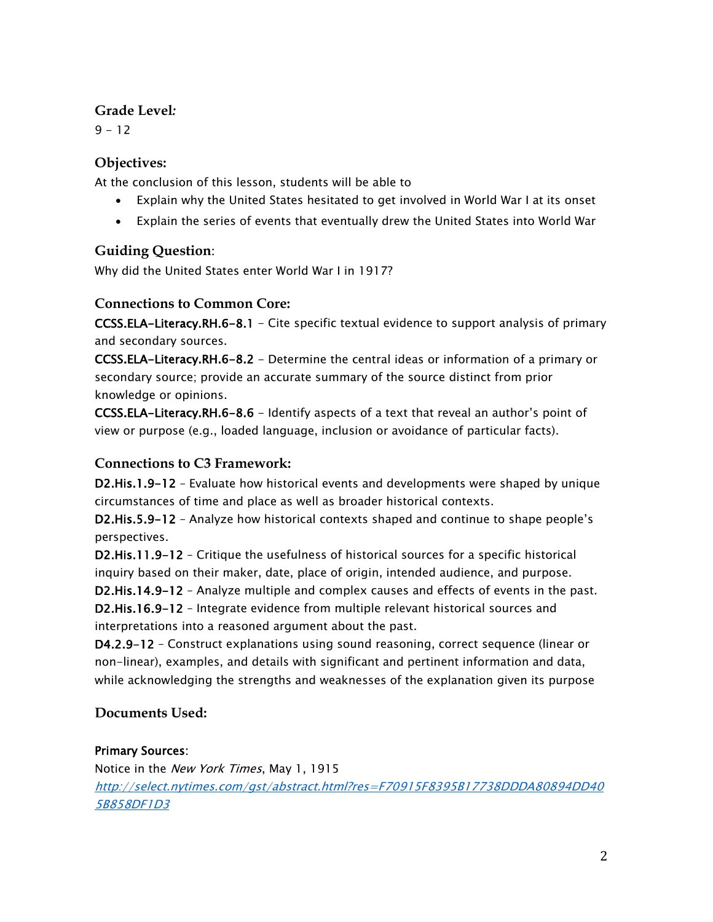#### **Grade Level***:*

 $9 - 12$ 

#### **Objectives:**

At the conclusion of this lesson, students will be able to

- Explain why the United States hesitated to get involved in World War I at its onset
- Explain the series of events that eventually drew the United States into World War

#### **Guiding Question**:

Why did the United States enter World War I in 1917?

#### **Connections to Common Core:**

CCSS.ELA-Literacy.RH.6-8.1 - Cite specific textual evidence to support analysis of primary and secondary sources.

CCSS.ELA-Literacy.RH.6-8.2 - Determine the central ideas or information of a primary or secondary source; provide an accurate summary of the source distinct from prior knowledge or opinions.

CCSS.ELA-Literacy.RH.6-8.6 - Identify aspects of a text that reveal an author's point of view or purpose (e.g., loaded language, inclusion or avoidance of particular facts).

#### **Connections to C3 Framework:**

D2.His.1.9-12 – Evaluate how historical events and developments were shaped by unique circumstances of time and place as well as broader historical contexts.

D2.His.5.9-12 – Analyze how historical contexts shaped and continue to shape people's perspectives.

D2.His.11.9-12 – Critique the usefulness of historical sources for a specific historical inquiry based on their maker, date, place of origin, intended audience, and purpose.

D2.His.14.9-12 – Analyze multiple and complex causes and effects of events in the past.

D2.His.16.9-12 – Integrate evidence from multiple relevant historical sources and interpretations into a reasoned argument about the past.

D4.2.9-12 – Construct explanations using sound reasoning, correct sequence (linear or non-linear), examples, and details with significant and pertinent information and data, while acknowledging the strengths and weaknesses of the explanation given its purpose

### **Documents Used:**

#### Primary Sources:

Notice in the New York Times, May 1, 1915 [http://select.nytimes.com/gst/abstract.html?res=F70915F8395B17738DDDA80894DD40](http://select.nytimes.com/gst/abstract.html?res=F70915F8395B17738DDDA80894DD405B858DF1D3) [5B858DF1D3](http://select.nytimes.com/gst/abstract.html?res=F70915F8395B17738DDDA80894DD405B858DF1D3)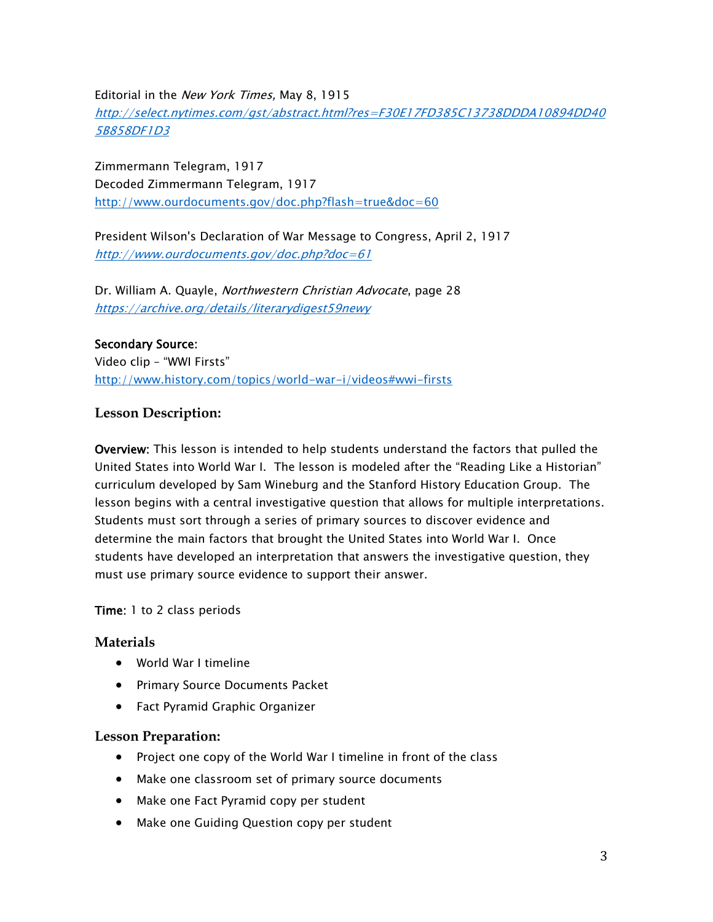Editorial in the New York Times, May 8, 1915 [http://select.nytimes.com/gst/abstract.html?res=F30E17FD385C13738DDDA10894DD40](http://select.nytimes.com/gst/abstract.html?res=F30E17FD385C13738DDDA10894DD405B858DF1D3) [5B858DF1D3](http://select.nytimes.com/gst/abstract.html?res=F30E17FD385C13738DDDA10894DD405B858DF1D3)

Zimmermann Telegram, 1917 Decoded Zimmermann Telegram, 1917 <http://www.ourdocuments.gov/doc.php?flash=true&doc=60>

President Wilson's Declaration of War Message to Congress, April 2, 1917 <http://www.ourdocuments.gov/doc.php?doc=61>

Dr. William A. Quayle, Northwestern Christian Advocate, page 28 <https://archive.org/details/literarydigest59newy>

#### Secondary Source:

Video clip – "WWI Firsts" [http://www.history.com/topics/world-war-i/videos#wwi-firsts](http://www.history.com/topics/world-war-i/world-war-i-history/videos/wwi-firsts)

#### **Lesson Description:**

Overview: This lesson is intended to help students understand the factors that pulled the United States into World War I. The lesson is modeled after the "Reading Like a Historian" curriculum developed by Sam Wineburg and the Stanford History Education Group. The lesson begins with a central investigative question that allows for multiple interpretations. Students must sort through a series of primary sources to discover evidence and determine the main factors that brought the United States into World War I. Once students have developed an interpretation that answers the investigative question, they must use primary source evidence to support their answer.

#### Time: 1 to 2 class periods

#### **Materials**

- World War I timeline
- Primary Source Documents Packet
- Fact Pyramid Graphic Organizer

#### **Lesson Preparation:**

- Project one copy of the World War I timeline in front of the class
- Make one classroom set of primary source documents
- Make one Fact Pyramid copy per student
- Make one Guiding Question copy per student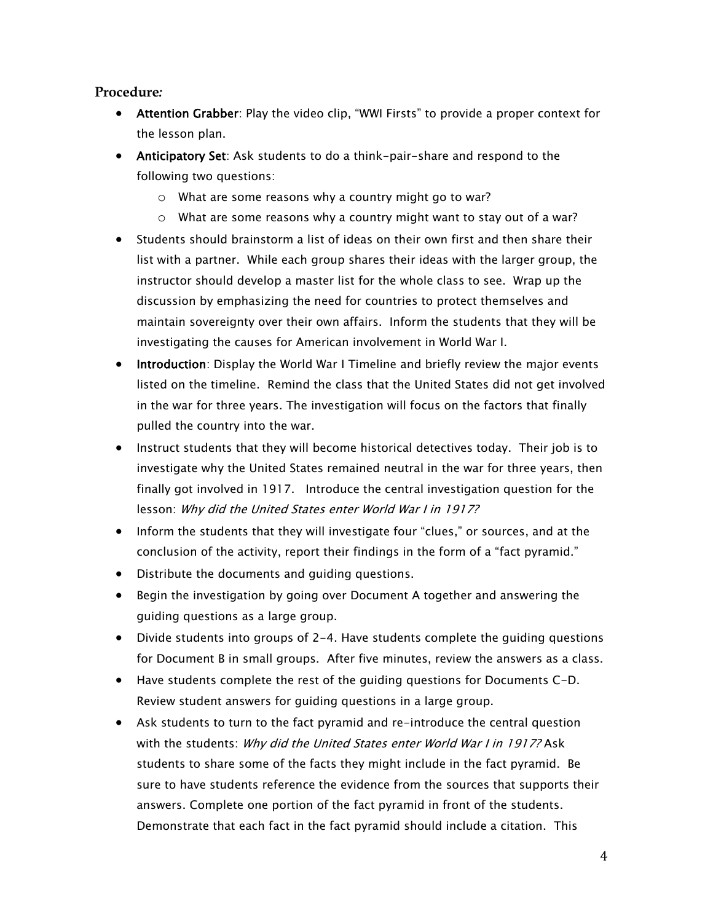#### **Procedure***:*

- Attention Grabber: Play the video clip, "WWI Firsts" to provide a proper context for the lesson plan.
- Anticipatory Set: Ask students to do a think-pair-share and respond to the following two questions:
	- o What are some reasons why a country might go to war?
	- o What are some reasons why a country might want to stay out of a war?
- Students should brainstorm a list of ideas on their own first and then share their list with a partner. While each group shares their ideas with the larger group, the instructor should develop a master list for the whole class to see. Wrap up the discussion by emphasizing the need for countries to protect themselves and maintain sovereignty over their own affairs. Inform the students that they will be investigating the causes for American involvement in World War I.
- Introduction: Display the World War I Timeline and briefly review the major events listed on the timeline. Remind the class that the United States did not get involved in the war for three years. The investigation will focus on the factors that finally pulled the country into the war.
- Instruct students that they will become historical detectives today. Their job is to investigate why the United States remained neutral in the war for three years, then finally got involved in 1917. Introduce the central investigation question for the lesson: Why did the United States enter World War I in 1917?
- Inform the students that they will investigate four "clues," or sources, and at the conclusion of the activity, report their findings in the form of a "fact pyramid."
- Distribute the documents and guiding questions.
- Begin the investigation by going over Document A together and answering the guiding questions as a large group.
- Divide students into groups of 2-4. Have students complete the guiding questions for Document B in small groups. After five minutes, review the answers as a class.
- Have students complete the rest of the guiding questions for Documents C-D. Review student answers for guiding questions in a large group.
- Ask students to turn to the fact pyramid and re-introduce the central question with the students: Why did the United States enter World War I in 1917? Ask students to share some of the facts they might include in the fact pyramid. Be sure to have students reference the evidence from the sources that supports their answers. Complete one portion of the fact pyramid in front of the students. Demonstrate that each fact in the fact pyramid should include a citation. This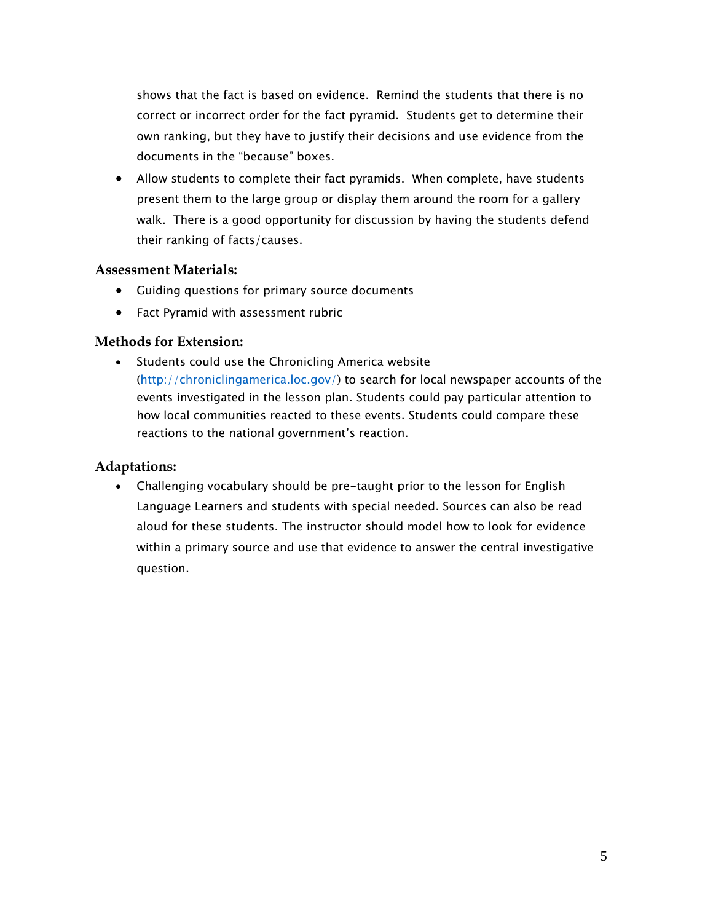shows that the fact is based on evidence. Remind the students that there is no correct or incorrect order for the fact pyramid. Students get to determine their own ranking, but they have to justify their decisions and use evidence from the documents in the "because" boxes.

 Allow students to complete their fact pyramids. When complete, have students present them to the large group or display them around the room for a gallery walk. There is a good opportunity for discussion by having the students defend their ranking of facts/causes.

#### **Assessment Materials:**

- Guiding questions for primary source documents
- Fact Pyramid with assessment rubric

#### **Methods for Extension:**

• Students could use the Chronicling America website [\(http://chroniclingamerica.loc.gov/\)](http://chroniclingamerica.loc.gov/) to search for local newspaper accounts of the events investigated in the lesson plan. Students could pay particular attention to how local communities reacted to these events. Students could compare these reactions to the national government's reaction.

#### **Adaptations:**

 Challenging vocabulary should be pre-taught prior to the lesson for English Language Learners and students with special needed. Sources can also be read aloud for these students. The instructor should model how to look for evidence within a primary source and use that evidence to answer the central investigative question.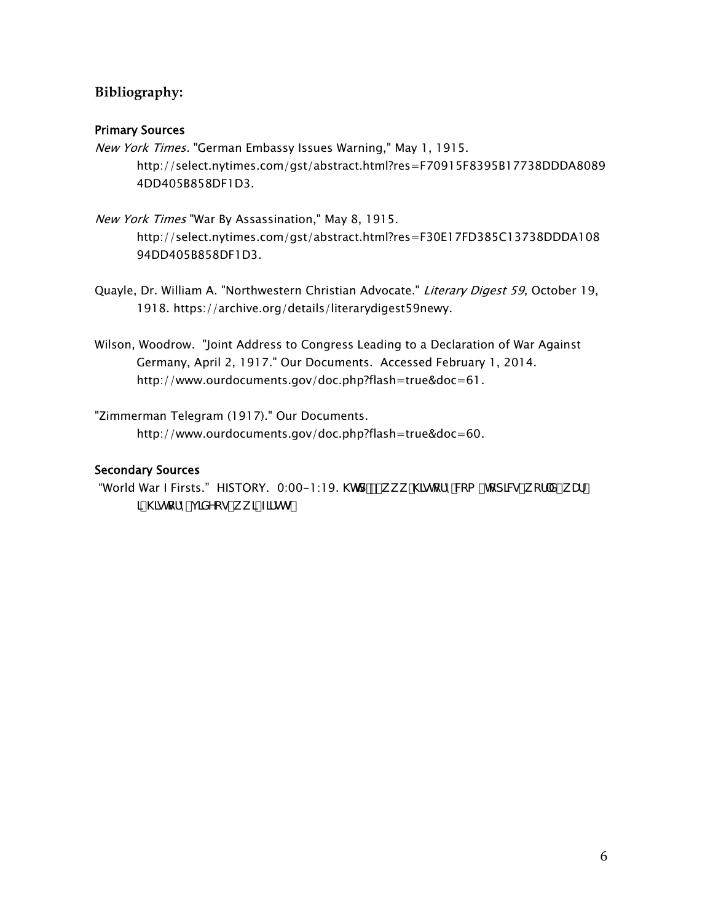#### **Bibliography:**

#### Primary Sources

- New York Times. "German Embassy Issues Warning," May 1, 1915. http://select.nytimes.com/gst/abstract.html?res=F70915F8395B17738DDDA8089 4DD405B858DF1D3.
- New York Times "War By Assassination," May 8, 1915. http://select.nytimes.com/gst/abstract.html?res=F30E17FD385C13738DDDA108 94DD405B858DF1D3.
- Quayle, Dr. William A. "Northwestern Christian Advocate." Literary Digest 59, October 19, 1918. https://archive.org/details/literarydigest59newy.
- Wilson, Woodrow. "Joint Address to Congress Leading to a Declaration of War Against Germany, April 2, 1917." Our Documents. Accessed February 1, 2014. http://www.ourdocuments.gov/doc.php?flash=true&doc=61.
- "Zimmerman Telegram (1917)." Our Documents. http://www.ourdocuments.gov/doc.php?flash=true&doc=60.

#### Secondary Sources

"World War I Firsts." HISTORY. 0:00-1:19. \Ird.##k k k "\]ghcfn'Wta #hcd]W#k cf X! k Uf! ]! \]ghcfm#j ]XYcg#k k ]! Z]fghg"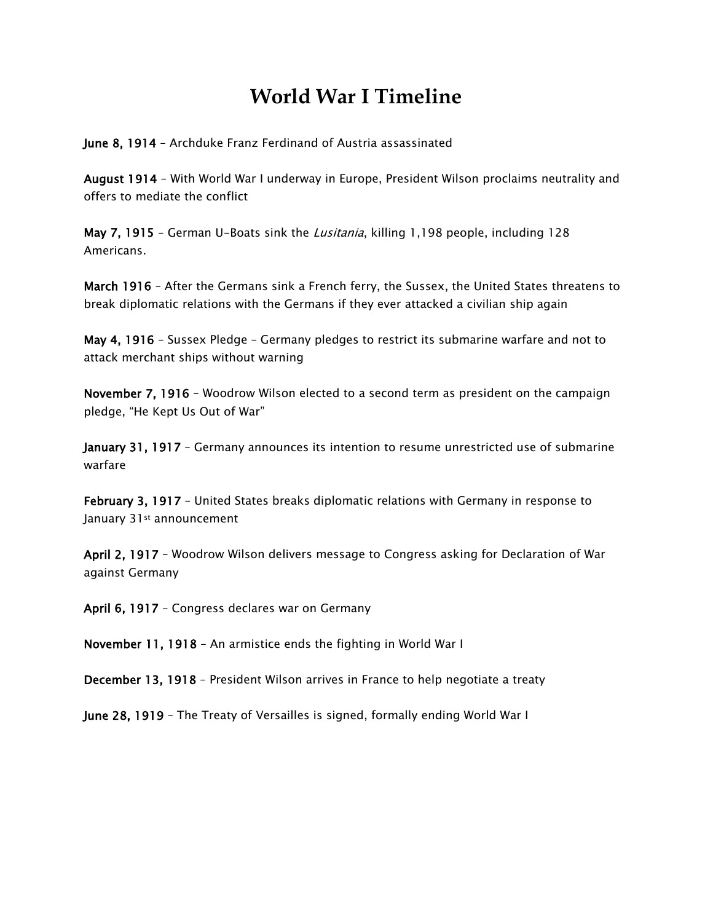## **World War I Timeline**

June 8, 1914 – Archduke Franz Ferdinand of Austria assassinated

August 1914 – With World War I underway in Europe, President Wilson proclaims neutrality and offers to mediate the conflict

May 7, 1915 - German U-Boats sink the *Lusitania*, killing 1,198 people, including 128 Americans.

March 1916 - After the Germans sink a French ferry, the Sussex, the United States threatens to break diplomatic relations with the Germans if they ever attacked a civilian ship again

May 4, 1916 – Sussex Pledge – Germany pledges to restrict its submarine warfare and not to attack merchant ships without warning

November 7, 1916 – Woodrow Wilson elected to a second term as president on the campaign pledge, "He Kept Us Out of War"

January 31, 1917 - Germany announces its intention to resume unrestricted use of submarine warfare

February 3, 1917 – United States breaks diplomatic relations with Germany in response to January 31<sup>st</sup> announcement

April 2, 1917 – Woodrow Wilson delivers message to Congress asking for Declaration of War against Germany

April 6, 1917 – Congress declares war on Germany

November 11, 1918 – An armistice ends the fighting in World War I

December 13, 1918 – President Wilson arrives in France to help negotiate a treaty

June 28, 1919 – The Treaty of Versailles is signed, formally ending World War I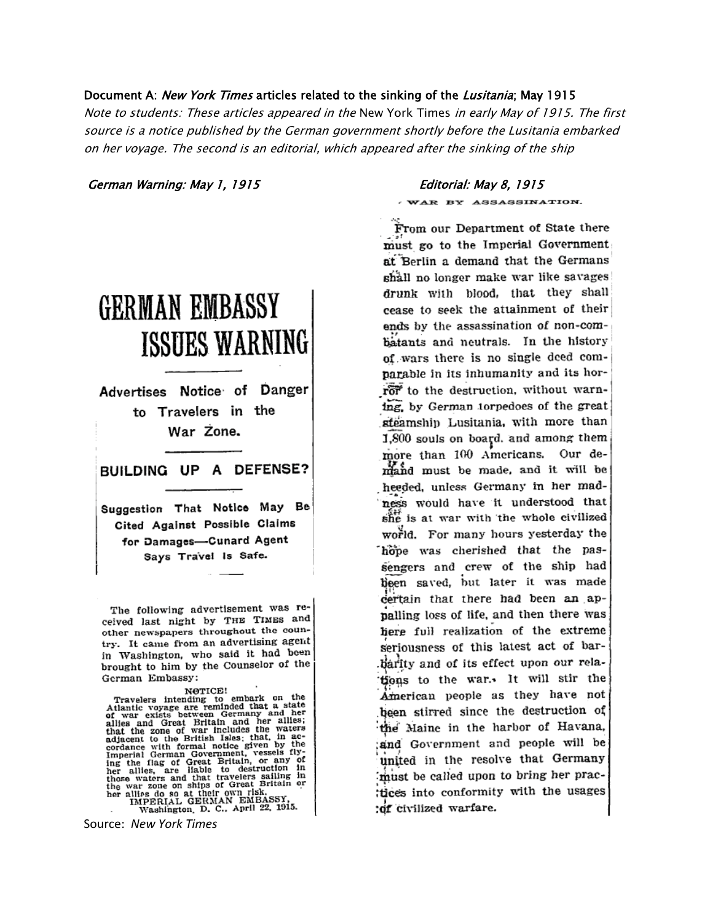#### Document A: New York Times articles related to the sinking of the Lusitania; May 1915

Note to students: These articles appeared in the New York Times in early May of 1915. The first source is a notice published by the German government shortly before the Lusitania embarked on her voyage. The second is an editorial, which appeared after the sinking of the ship

German Warning: May 1, 1915 Editorial: May 8, 1915

# **GERMAN EMBASSY** ISSUES WARNING

Advertises Notice of Danger to Travelers in the War Zone.

BUILDING UP A DEFENSE?

Suggestion That Notice May Be Cited Against Possible Claims for Damages-Cunard Agent Says Travel Is Safe.

The following advertisement was received last night by THE TIMES and other newspapers throughout the country. It came from an advertising agent in Washington, who said it had been brought to him by the Counselor of the German Embassy:

NorTCE!<br>
Hantic voyage are reminded that a state<br>
of war exists between Germany and her<br>
allies and Great Britain and her allies;<br>
that the zone of war includes the vaters<br>
that the cone of war includes the vaters<br>
adjacen NOTICE!

WAR BY ASSASSINATION.

From our Department of State there must go to the Imperial Government at Berlin a demand that the Germans shall no longer make war like savages drunk with blood, that they shall cease to seek the attainment of their ends by the assassination of non-combatants and neutrals. In the history of wars there is no single deed comparable in its inhumanity and its horror to the destruction, without warning, by German torpedoes of the great steamship Lusitania, with more than 1,800 souls on board, and among them more than 100 Americans. Our demand must be made, and it will be heeded, unless Germany in her madness would have it understood that she is at war with the whole civilized world. For many hours yesterday the hope was cherished that the passengers and crew of the ship had been saved, but later it was made certain that there had been an appalling loss of life, and then there was here full realization of the extreme seriousness of this latest act of barbarity and of its effect upon our relations to the war. It will stir the American people as they have not been stirred since the destruction of the Maine in the harbor of Havana, and Government and people will be united in the resolve that Germany must be called upon to bring her practices into conformity with the usages :of civilized warfare.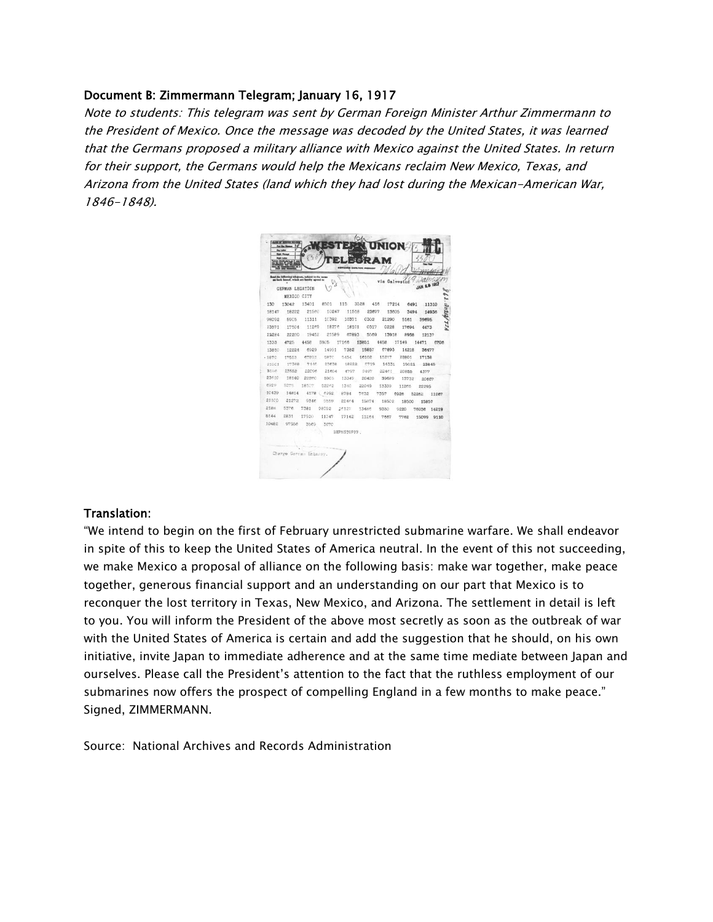#### Document B: Zimmermann Telegram; January 16, 1917

Note to students: This telegram was sent by German Foreign Minister Arthur Zimmermann to the President of Mexico. Once the message was decoded by the United States, it was learned that the Germans proposed a military alliance with Mexico against the United States. In return for their support, the Germans would help the Mexicans reclaim New Mexico, Texas, and Arizona from the United States (land which they had lost during the Mexican-American War, 1846-1848).



#### Translation:

"We intend to begin on the first of February unrestricted submarine warfare. We shall endeavor in spite of this to keep the United States of America neutral. In the event of this not succeeding, we make Mexico a proposal of alliance on the following basis: make war together, make peace together, generous financial support and an understanding on our part that Mexico is to reconquer the lost territory in Texas, New Mexico, and Arizona. The settlement in detail is left to you. You will inform the President of the above most secretly as soon as the outbreak of war with the United States of America is certain and add the suggestion that he should, on his own initiative, invite Japan to immediate adherence and at the same time mediate between Japan and ourselves. Please call the President's attention to the fact that the ruthless employment of our submarines now offers the prospect of compelling England in a few months to make peace." Signed, ZIMMERMANN.

Source: National Archives and Records Administration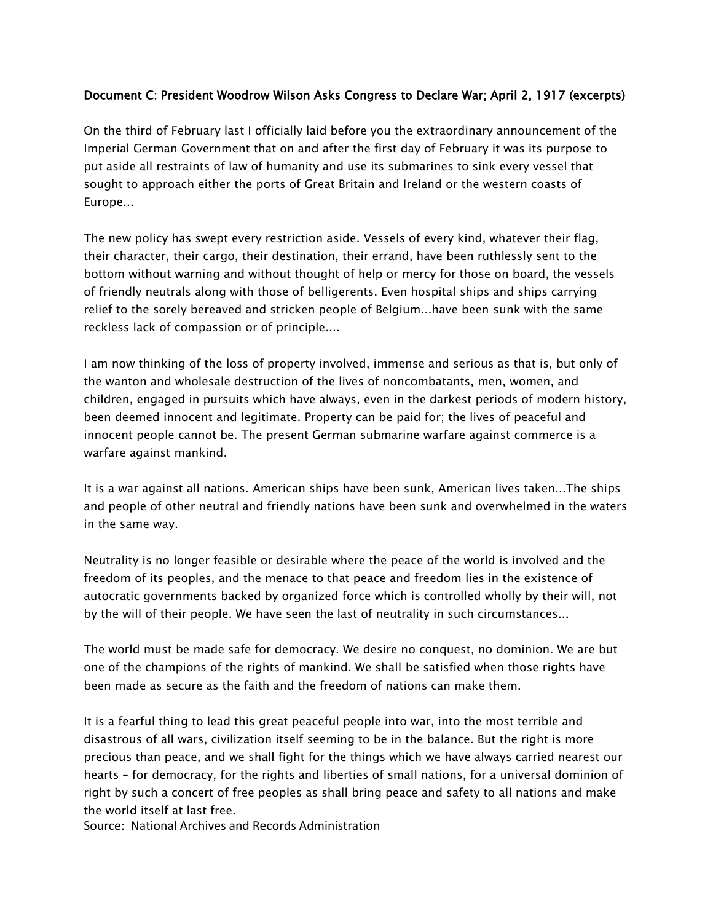#### Document C: President Woodrow Wilson Asks Congress to Declare War; April 2, 1917 (excerpts)

On the third of February last I officially laid before you the extraordinary announcement of the Imperial German Government that on and after the first day of February it was its purpose to put aside all restraints of law of humanity and use its submarines to sink every vessel that sought to approach either the ports of Great Britain and Ireland or the western coasts of Europe...

The new policy has swept every restriction aside. Vessels of every kind, whatever their flag, their character, their cargo, their destination, their errand, have been ruthlessly sent to the bottom without warning and without thought of help or mercy for those on board, the vessels of friendly neutrals along with those of belligerents. Even hospital ships and ships carrying relief to the sorely bereaved and stricken people of Belgium...have been sunk with the same reckless lack of compassion or of principle....

I am now thinking of the loss of property involved, immense and serious as that is, but only of the wanton and wholesale destruction of the lives of noncombatants, men, women, and children, engaged in pursuits which have always, even in the darkest periods of modern history, been deemed innocent and legitimate. Property can be paid for; the lives of peaceful and innocent people cannot be. The present German submarine warfare against commerce is a warfare against mankind.

It is a war against all nations. American ships have been sunk, American lives taken...The ships and people of other neutral and friendly nations have been sunk and overwhelmed in the waters in the same way.

Neutrality is no longer feasible or desirable where the peace of the world is involved and the freedom of its peoples, and the menace to that peace and freedom lies in the existence of autocratic governments backed by organized force which is controlled wholly by their will, not by the will of their people. We have seen the last of neutrality in such circumstances...

The world must be made safe for democracy. We desire no conquest, no dominion. We are but one of the champions of the rights of mankind. We shall be satisfied when those rights have been made as secure as the faith and the freedom of nations can make them.

It is a fearful thing to lead this great peaceful people into war, into the most terrible and disastrous of all wars, civilization itself seeming to be in the balance. But the right is more precious than peace, and we shall fight for the things which we have always carried nearest our hearts – for democracy, for the rights and liberties of small nations, for a universal dominion of right by such a concert of free peoples as shall bring peace and safety to all nations and make the world itself at last free.

Source: National Archives and Records Administration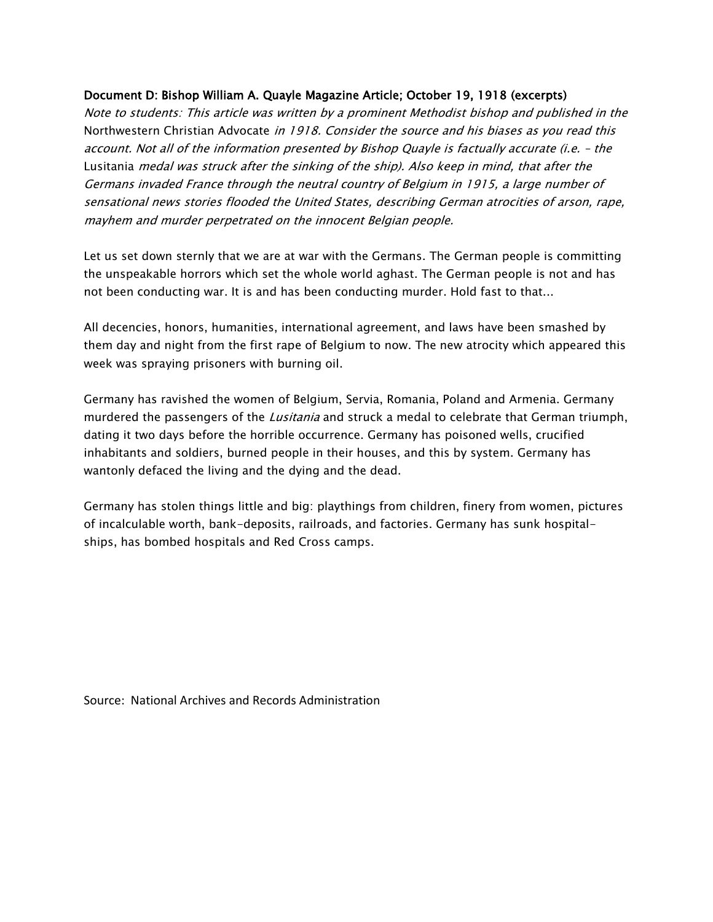#### Document D: Bishop William A. Quayle Magazine Article; October 19, 1918 (excerpts)

Note to students: This article was written by a prominent Methodist bishop and published in the Northwestern Christian Advocate in 1918. Consider the source and his biases as you read this account. Not all of the information presented by Bishop Quayle is factually accurate (i.e. – the Lusitania medal was struck after the sinking of the ship). Also keep in mind, that after the Germans invaded France through the neutral country of Belgium in 1915, a large number of sensational news stories flooded the United States, describing German atrocities of arson, rape, mayhem and murder perpetrated on the innocent Belgian people.

Let us set down sternly that we are at war with the Germans. The German people is committing the unspeakable horrors which set the whole world aghast. The German people is not and has not been conducting war. It is and has been conducting murder. Hold fast to that...

All decencies, honors, humanities, international agreement, and laws have been smashed by them day and night from the first rape of Belgium to now. The new atrocity which appeared this week was spraying prisoners with burning oil.

Germany has ravished the women of Belgium, Servia, Romania, Poland and Armenia. Germany murdered the passengers of the *Lusitania* and struck a medal to celebrate that German triumph, dating it two days before the horrible occurrence. Germany has poisoned wells, crucified inhabitants and soldiers, burned people in their houses, and this by system. Germany has wantonly defaced the living and the dying and the dead.

Germany has stolen things little and big: playthings from children, finery from women, pictures of incalculable worth, bank-deposits, railroads, and factories. Germany has sunk hospitalships, has bombed hospitals and Red Cross camps.

Source: National Archives and Records Administration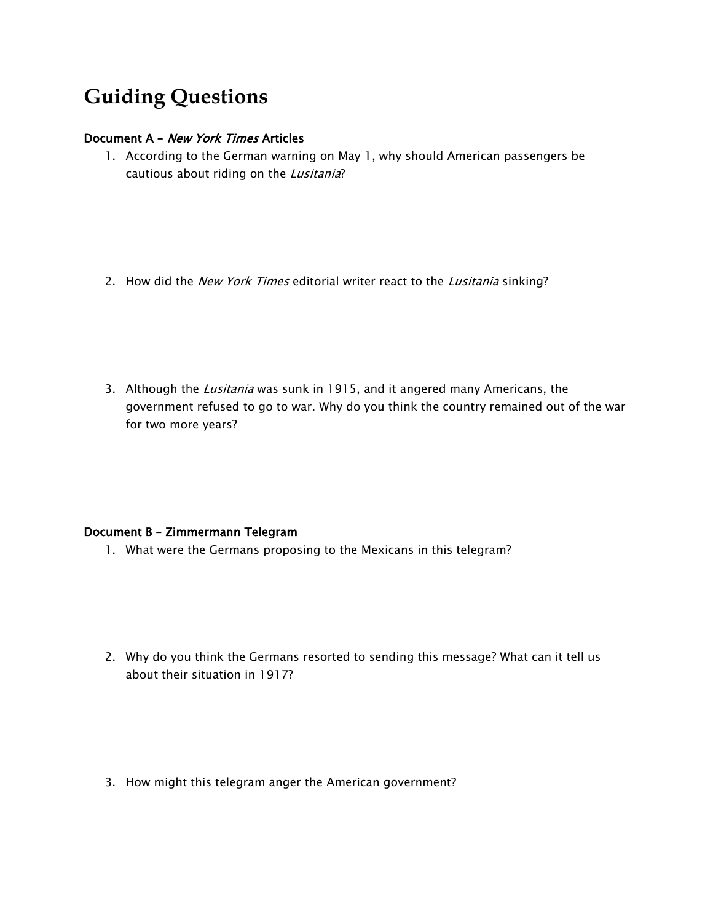## **Guiding Questions**

#### Document A – New York Times Articles

1. According to the German warning on May 1, why should American passengers be cautious about riding on the Lusitania?

- 2. How did the New York Times editorial writer react to the Lusitania sinking?
- 3. Although the Lusitania was sunk in 1915, and it angered many Americans, the government refused to go to war. Why do you think the country remained out of the war for two more years?

#### Document B – Zimmermann Telegram

1. What were the Germans proposing to the Mexicans in this telegram?

- 2. Why do you think the Germans resorted to sending this message? What can it tell us about their situation in 1917?
- 3. How might this telegram anger the American government?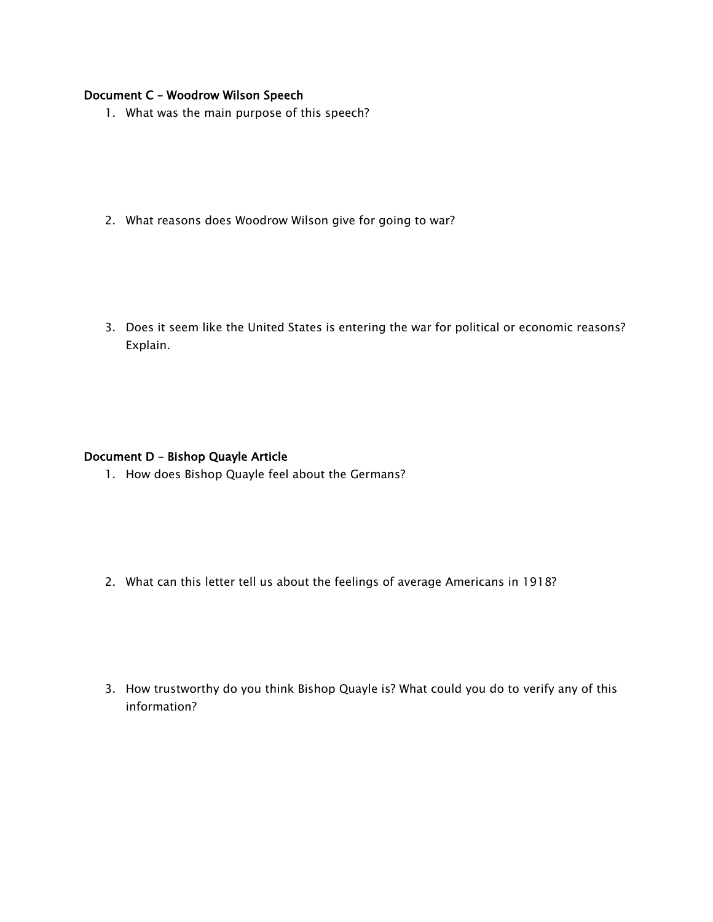#### Document C – Woodrow Wilson Speech

- 1. What was the main purpose of this speech?
- 2. What reasons does Woodrow Wilson give for going to war?

3. Does it seem like the United States is entering the war for political or economic reasons? Explain.

#### Document D – Bishop Quayle Article

1. How does Bishop Quayle feel about the Germans?

2. What can this letter tell us about the feelings of average Americans in 1918?

3. How trustworthy do you think Bishop Quayle is? What could you do to verify any of this information?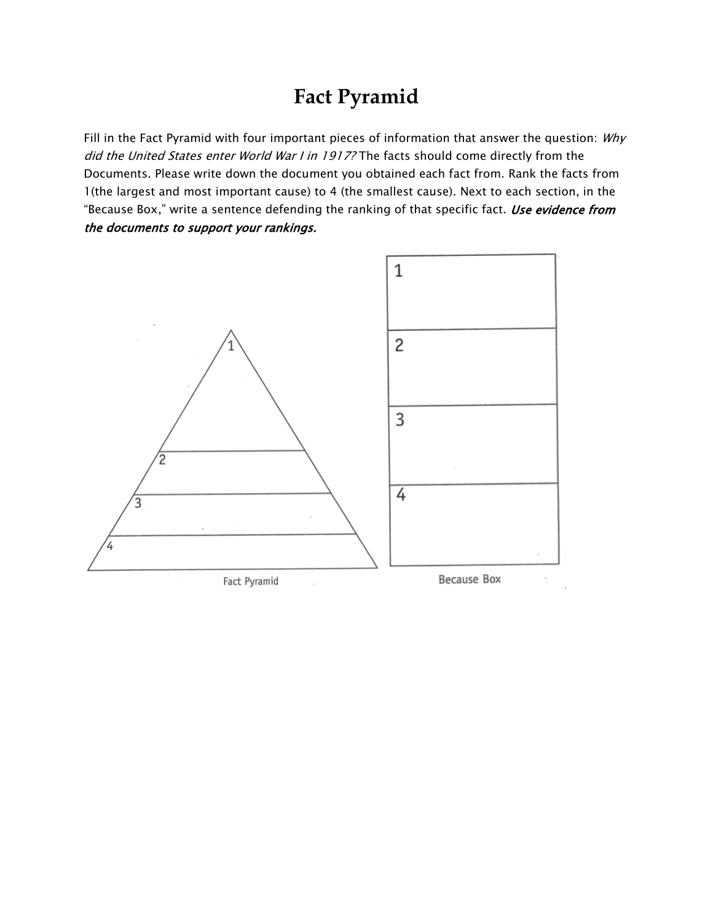## **Fact Pyramid**

Fill in the Fact Pyramid with four important pieces of information that answer the question: Why did the United States enter World War I in 1917? The facts should come directly from the Documents. Please write down the document you obtained each fact from. Rank the facts from 1(the largest and most important cause) to 4 (the smallest cause). Next to each section, in the "Because Box," write a sentence defending the ranking of that specific fact. Use evidence from the documents to support your rankings.



Fact Pyramid

Because Box